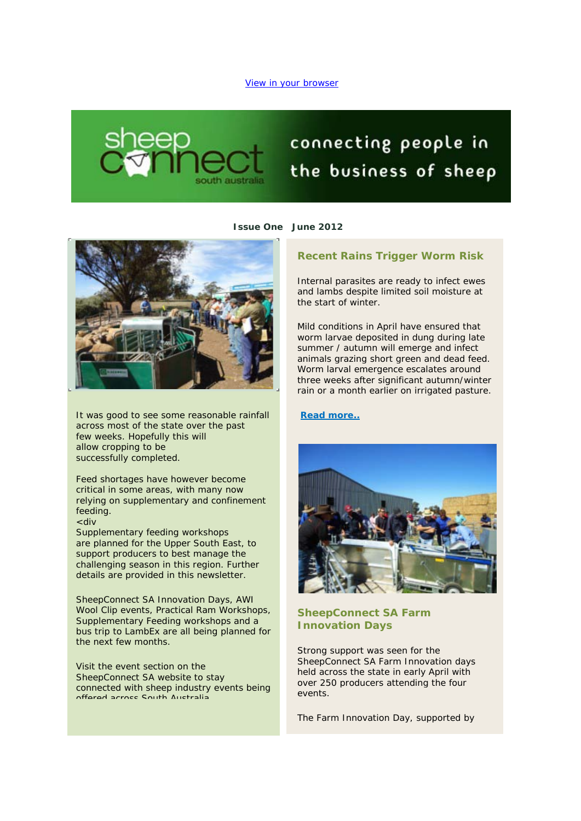



# connecting people in the business of sheep

**Issue One June 2012**



It was good to see some reasonable rainfall across most of the state over the past few weeks. Hopefully this will allow cropping to be successfully completed.

Feed shortages have however become critical in some areas, with many now relying on supplementary and confinement feeding. <div

Supplementary feeding workshops are planned for the Upper South East, to support producers to best manage the challenging season in this region. Further details are provided in this newsletter.

SheepConnect SA Innovation Days, AWI Wool Clip events, Practical Ram Workshops, Supplementary Feeding workshops and a bus trip to LambEx are all being planned for the next few months.

Visit the event section on the SheepConnect SA website to stay connected with sheep industry events being offered across South Australia

# **Recent Rains Trigger Worm Risk**

Internal parasites are ready to infect ewes and lambs despite limited soil moisture at the start of winter.

Mild conditions in April have ensured that worm larvae deposited in dung during late summer / autumn will emerge and infect animals grazing short green and dead feed. Worm larval emergence escalates around three weeks after significant autumn/winter rain or a month earlier on irrigated pasture.

## **[Read more..](http://www.sheepconnectsa.com.au/CampaignProcess.aspx?A=Link&VID=9787615&KID=21896&LID=177594&O=http%3a%2f%2fwww.sheepconnectsa.com.au%2fnewsletters%2frains-trigger-worm-risk-in-ewes-and-lambs)**



**SheepConnect SA Farm Innovation Days**

Strong support was seen for the SheepConnect SA Farm Innovation days held across the state in early April with over 250 producers attending the four events.

The Farm Innovation Day, supported by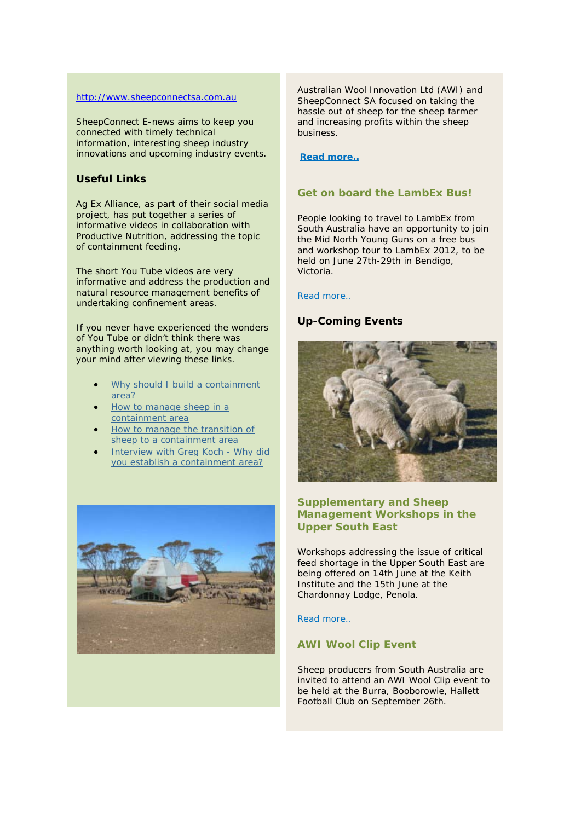#### [http://www.sheepconnectsa.com.au](http://www.sheepconnectsa.com.au/)

SheepConnect E-news aims to keep you connected with timely technical information, interesting sheep industry innovations and upcoming industry events.

# **Useful Links**

Ag Ex Alliance, as part of their social media project, has put together a series of informative videos in collaboration with Productive Nutrition, addressing the topic of containment feeding.

The short You Tube videos are very informative and address the production and natural resource management benefits of undertaking confinement areas.

If you never have experienced the wonders of You Tube or didn't think there was anything worth looking at, you may change your mind after viewing these links.

- Why should I build a containment [area?](http://www.sheepconnectsa.com.au/CampaignProcess.aspx?A=Link&VID=9787615&KID=21896&LID=177848&O=http%3a%2f%2fagex.us2.list-manage.com%2ftrack%2fclick%3fu%3dadd5f4cd98ab758e84f757fc7%26id%3deaae332d5b%26e%3dd455fd75ac)
- [How to manage sheep in a](http://www.sheepconnectsa.com.au/CampaignProcess.aspx?A=Link&VID=9787615&KID=21896&LID=177849&O=http%3a%2f%2fagex.us2.list-manage1.com%2ftrack%2fclick%3fu%3dadd5f4cd98ab758e84f757fc7%26id%3d256065bc1d%26e%3dd455fd75ac)  [containment area](http://www.sheepconnectsa.com.au/CampaignProcess.aspx?A=Link&VID=9787615&KID=21896&LID=177849&O=http%3a%2f%2fagex.us2.list-manage1.com%2ftrack%2fclick%3fu%3dadd5f4cd98ab758e84f757fc7%26id%3d256065bc1d%26e%3dd455fd75ac)
- How to manage the transition of [sheep to a containment area](http://www.sheepconnectsa.com.au/CampaignProcess.aspx?A=Link&VID=9787615&KID=21896&LID=177850&O=http%3a%2f%2fagex.us2.list-manage.com%2ftrack%2fclick%3fu%3dadd5f4cd98ab758e84f757fc7%26id%3d4e66d1f737%26e%3dd455fd75ac)
- [Interview with Greg Koch -](http://www.sheepconnectsa.com.au/CampaignProcess.aspx?A=Link&VID=9787615&KID=21896&LID=177851&O=http%3a%2f%2fagex.us2.list-manage.com%2ftrack%2fclick%3fu%3dadd5f4cd98ab758e84f757fc7%26id%3d7be221e315%26e%3dd455fd75ac) Why did [you establish a containment area?](http://www.sheepconnectsa.com.au/CampaignProcess.aspx?A=Link&VID=9787615&KID=21896&LID=177851&O=http%3a%2f%2fagex.us2.list-manage.com%2ftrack%2fclick%3fu%3dadd5f4cd98ab758e84f757fc7%26id%3d7be221e315%26e%3dd455fd75ac)



Australian Wool Innovation Ltd (AWI) and SheepConnect SA focused on taking the hassle out of sheep for the sheep farmer and increasing profits within the sheep business.

## **[Read more..](http://www.sheepconnectsa.com.au/CampaignProcess.aspx?A=Link&VID=9787615&KID=21896&LID=177595&O=http%3a%2f%2fwww.sheepconnectsa.com.au%2fnewsletters%2fstrong-support-for-sheep-innovation-days)**

# **Get on board the LambEx Bus!**

People looking to travel to LambEx from South Australia have an opportunity to join the Mid North Young Guns on a free bus and workshop tour to LambEx 2012, to be held on June 27th-29th in Bendigo, Victoria.

#### [Read more..](http://www.sheepconnectsa.com.au/CampaignProcess.aspx?A=Link&VID=9787615&KID=21896&LID=177596&O=http%3a%2f%2fwww.sheepconnectsa.com.au%2fnewsletters%2fget-on-board-the-lambex-bus)

## **Up-Coming Events**



# **Supplementary and Sheep Management Workshops in the Upper South East**

Workshops addressing the issue of critical feed shortage in the Upper South East are being offered on 14th June at the Keith Institute and the 15th June at the Chardonnay Lodge, Penola.

#### [Read more..](http://www.sheepconnectsa.com.au/CampaignProcess.aspx?A=Link&VID=9787615&KID=21896&LID=177837&O=http%3a%2f%2fwww.sheepconnectsa.com.au%2fnewsletters%2ffollow-up-supplementation-workshops)

## **AWI Wool Clip Event**

Sheep producers from South Australia are invited to attend an AWI Wool Clip event to be held at the Burra, Booborowie, Hallett Football Club on September 26th.